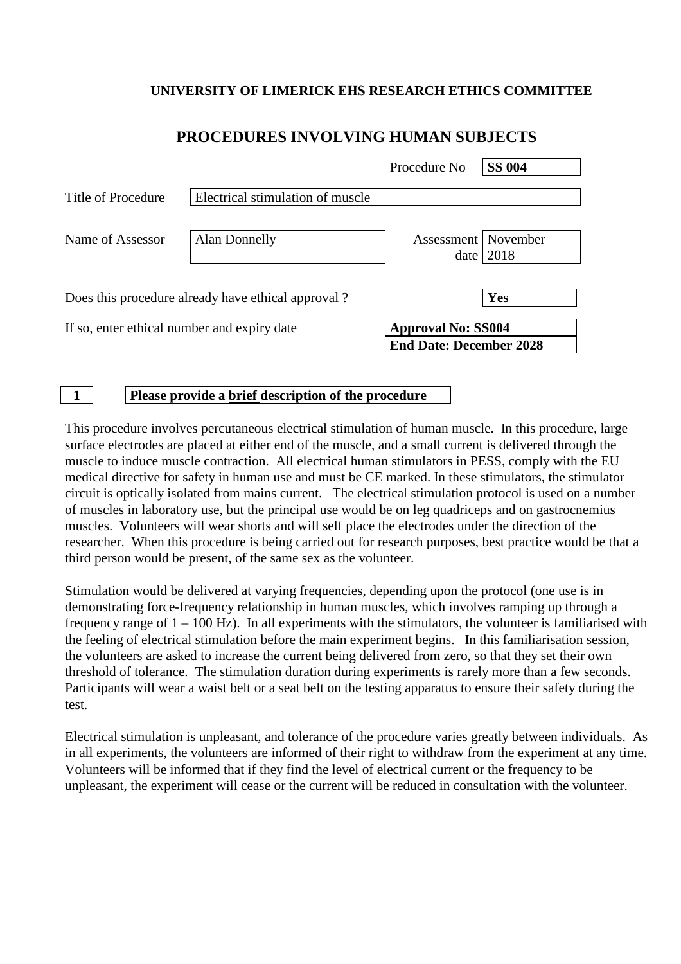#### **UNIVERSITY OF LIMERICK EHS RESEARCH ETHICS COMMITTEE**

|                                             |                                                    | Procedure No              | <b>SS 004</b> |
|---------------------------------------------|----------------------------------------------------|---------------------------|---------------|
| Title of Procedure                          | Electrical stimulation of muscle                   |                           |               |
| Name of Assessor                            | Alan Donnelly                                      | Assessment   November     | date $ 2018$  |
|                                             | Does this procedure already have ethical approval? |                           | Yes           |
| If so, enter ethical number and expiry date |                                                    | <b>Approval No: SS004</b> |               |

### **PROCEDURES INVOLVING HUMAN SUBJECTS**

#### **1 Please provide a brief description of the procedure**

This procedure involves percutaneous electrical stimulation of human muscle. In this procedure, large surface electrodes are placed at either end of the muscle, and a small current is delivered through the muscle to induce muscle contraction. All electrical human stimulators in PESS, comply with the EU medical directive for safety in human use and must be CE marked. In these stimulators, the stimulator circuit is optically isolated from mains current. The electrical stimulation protocol is used on a number of muscles in laboratory use, but the principal use would be on leg quadriceps and on gastrocnemius muscles. Volunteers will wear shorts and will self place the electrodes under the direction of the researcher. When this procedure is being carried out for research purposes, best practice would be that a third person would be present, of the same sex as the volunteer.

**End Date: December 2028**

Stimulation would be delivered at varying frequencies, depending upon the protocol (one use is in demonstrating force-frequency relationship in human muscles, which involves ramping up through a frequency range of  $1 - 100$  Hz). In all experiments with the stimulators, the volunteer is familiarised with the feeling of electrical stimulation before the main experiment begins. In this familiarisation session, the volunteers are asked to increase the current being delivered from zero, so that they set their own threshold of tolerance. The stimulation duration during experiments is rarely more than a few seconds. Participants will wear a waist belt or a seat belt on the testing apparatus to ensure their safety during the test.

Electrical stimulation is unpleasant, and tolerance of the procedure varies greatly between individuals. As in all experiments, the volunteers are informed of their right to withdraw from the experiment at any time. Volunteers will be informed that if they find the level of electrical current or the frequency to be unpleasant, the experiment will cease or the current will be reduced in consultation with the volunteer.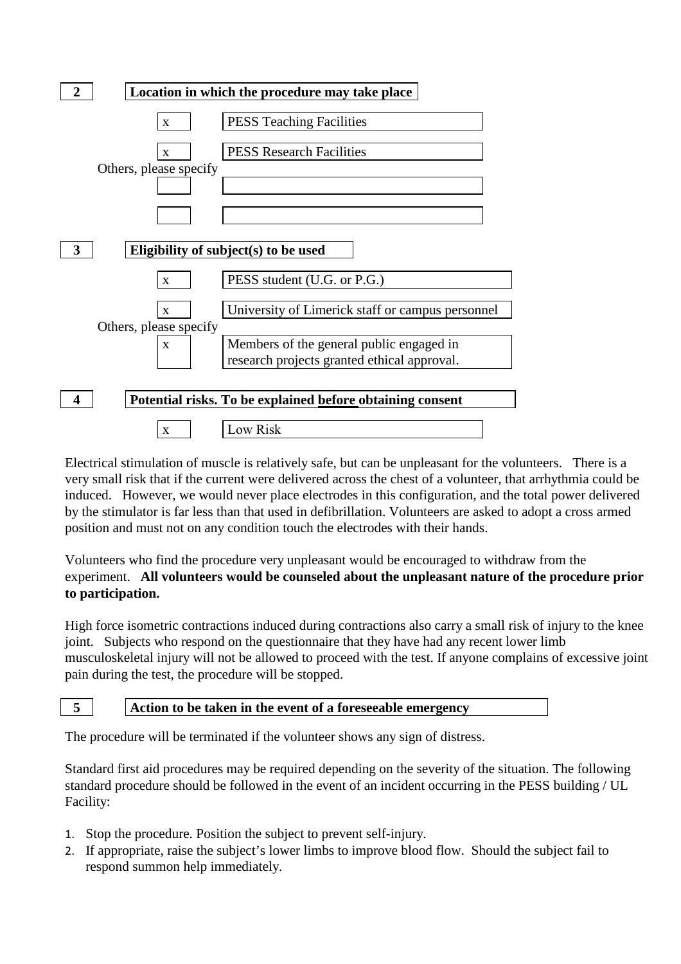

Electrical stimulation of muscle is relatively safe, but can be unpleasant for the volunteers. There is a very small risk that if the current were delivered across the chest of a volunteer, that arrhythmia could be induced. However, we would never place electrodes in this configuration, and the total power delivered by the stimulator is far less than that used in defibrillation. Volunteers are asked to adopt a cross armed position and must not on any condition touch the electrodes with their hands.

Volunteers who find the procedure very unpleasant would be encouraged to withdraw from the experiment. **All volunteers would be counseled about the unpleasant nature of the procedure prior to participation.** 

High force isometric contractions induced during contractions also carry a small risk of injury to the knee joint. Subjects who respond on the questionnaire that they have had any recent lower limb musculoskeletal injury will not be allowed to proceed with the test. If anyone complains of excessive joint pain during the test, the procedure will be stopped.

## **5 Action to be taken in the event of a foreseeable emergency**

The procedure will be terminated if the volunteer shows any sign of distress.

Standard first aid procedures may be required depending on the severity of the situation. The following standard procedure should be followed in the event of an incident occurring in the PESS building / UL Facility:

- 1. Stop the procedure. Position the subject to prevent self-injury.
- 2. If appropriate, raise the subject's lower limbs to improve blood flow. Should the subject fail to respond summon help immediately.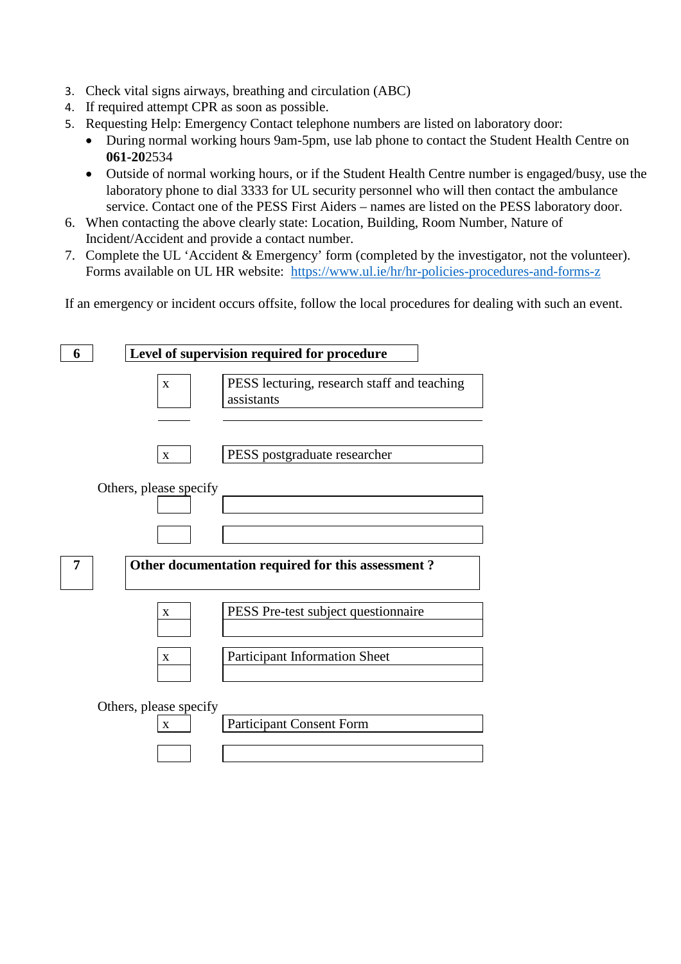- 3. Check vital signs airways, breathing and circulation (ABC)
- 4. If required attempt CPR as soon as possible.
- 5. Requesting Help: Emergency Contact telephone numbers are listed on laboratory door:
	- During normal working hours 9am-5pm, use lab phone to contact the Student Health Centre on **061-20**2534
	- Outside of normal working hours, or if the Student Health Centre number is engaged/busy, use the laboratory phone to dial 3333 for UL security personnel who will then contact the ambulance service. Contact one of the PESS First Aiders – names are listed on the PESS laboratory door.
- 6. When contacting the above clearly state: Location, Building, Room Number, Nature of Incident/Accident and provide a contact number.
- 7. Complete the UL 'Accident & Emergency' form (completed by the investigator, not the volunteer). Forms available on UL HR website: <https://www.ul.ie/hr/hr-policies-procedures-and-forms-z>

If an emergency or incident occurs offsite, follow the local procedures for dealing with such an event.

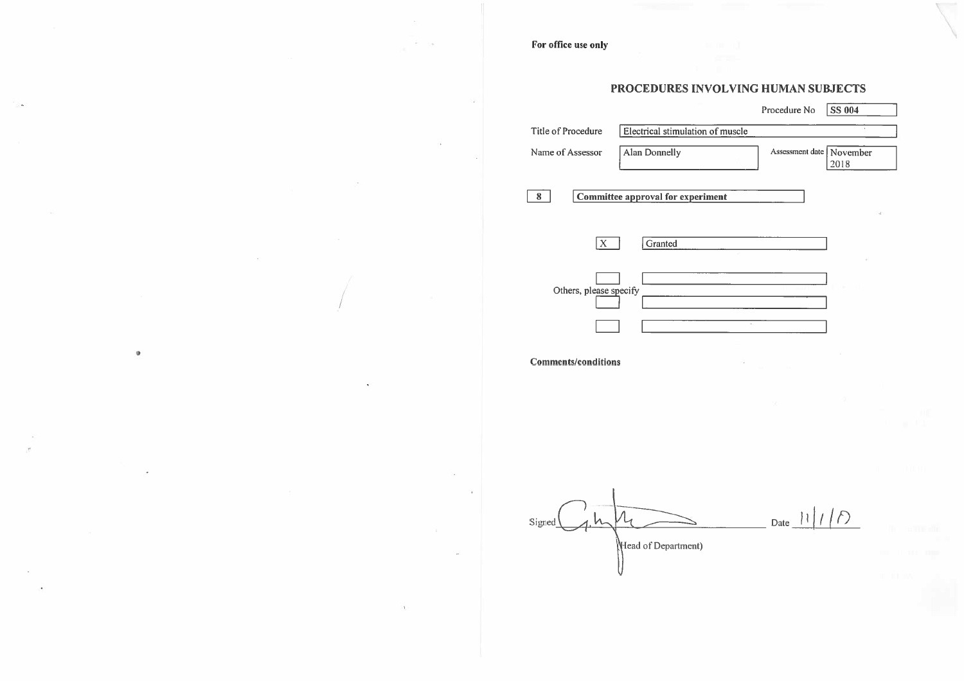For office use only

|                                                                    |                                          | Procedure No               | <b>SS 004</b> |  |  |
|--------------------------------------------------------------------|------------------------------------------|----------------------------|---------------|--|--|
| Electrical stimulation of muscle<br>×<br><b>Title of Procedure</b> |                                          |                            |               |  |  |
| Name of Assessor                                                   | <b>Alan Donnelly</b>                     | Assessment date   November | 2018          |  |  |
| 8                                                                  | <b>Committee approval for experiment</b> |                            |               |  |  |
|                                                                    |                                          |                            |               |  |  |
| $\mathbf{X}^-$                                                     | Granted                                  |                            |               |  |  |
| Others, please specify                                             |                                          |                            |               |  |  |
|                                                                    |                                          | $\mathcal{U}$              |               |  |  |
| <b>Comments/conditions</b>                                         |                                          |                            |               |  |  |
|                                                                    |                                          |                            |               |  |  |
|                                                                    |                                          |                            |               |  |  |
|                                                                    |                                          |                            |               |  |  |
| Signed                                                             |                                          | Date $11/7$                |               |  |  |
|                                                                    | Head of Department)                      |                            |               |  |  |

## PROCEDURES INVOLVING HUMAN SUBJECTS